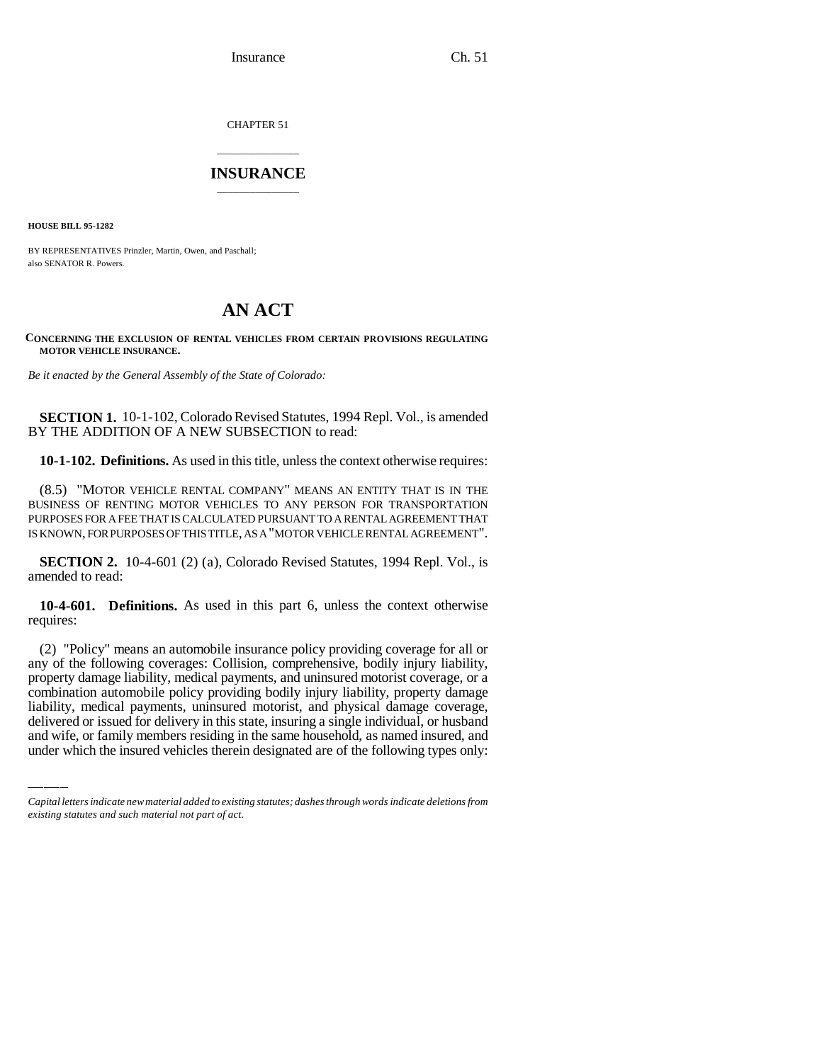Insurance Ch. 51

CHAPTER 51

## \_\_\_\_\_\_\_\_\_\_\_\_\_\_\_ **INSURANCE** \_\_\_\_\_\_\_\_\_\_\_\_\_\_\_

**HOUSE BILL 95-1282**

BY REPRESENTATIVES Prinzler, Martin, Owen, and Paschall; also SENATOR R. Powers.

## **AN ACT**

## **CONCERNING THE EXCLUSION OF RENTAL VEHICLES FROM CERTAIN PROVISIONS REGULATING MOTOR VEHICLE INSURANCE.**

*Be it enacted by the General Assembly of the State of Colorado:*

**SECTION 1.** 10-1-102, Colorado Revised Statutes, 1994 Repl. Vol., is amended BY THE ADDITION OF A NEW SUBSECTION to read:

**10-1-102. Definitions.** As used in this title, unless the context otherwise requires:

(8.5) "MOTOR VEHICLE RENTAL COMPANY" MEANS AN ENTITY THAT IS IN THE BUSINESS OF RENTING MOTOR VEHICLES TO ANY PERSON FOR TRANSPORTATION PURPOSES FOR A FEE THAT IS CALCULATED PURSUANT TO A RENTAL AGREEMENT THAT IS KNOWN, FOR PURPOSES OF THIS TITLE, AS A "MOTOR VEHICLE RENTAL AGREEMENT".

**SECTION 2.** 10-4-601 (2) (a), Colorado Revised Statutes, 1994 Repl. Vol., is amended to read:

**10-4-601. Definitions.** As used in this part 6, unless the context otherwise requires:

combination automobile policy providing bodily injury liability, property damage (2) "Policy" means an automobile insurance policy providing coverage for all or any of the following coverages: Collision, comprehensive, bodily injury liability, property damage liability, medical payments, and uninsured motorist coverage, or a liability, medical payments, uninsured motorist, and physical damage coverage, delivered or issued for delivery in this state, insuring a single individual, or husband and wife, or family members residing in the same household, as named insured, and under which the insured vehicles therein designated are of the following types only:

*Capital letters indicate new material added to existing statutes; dashes through words indicate deletions from existing statutes and such material not part of act.*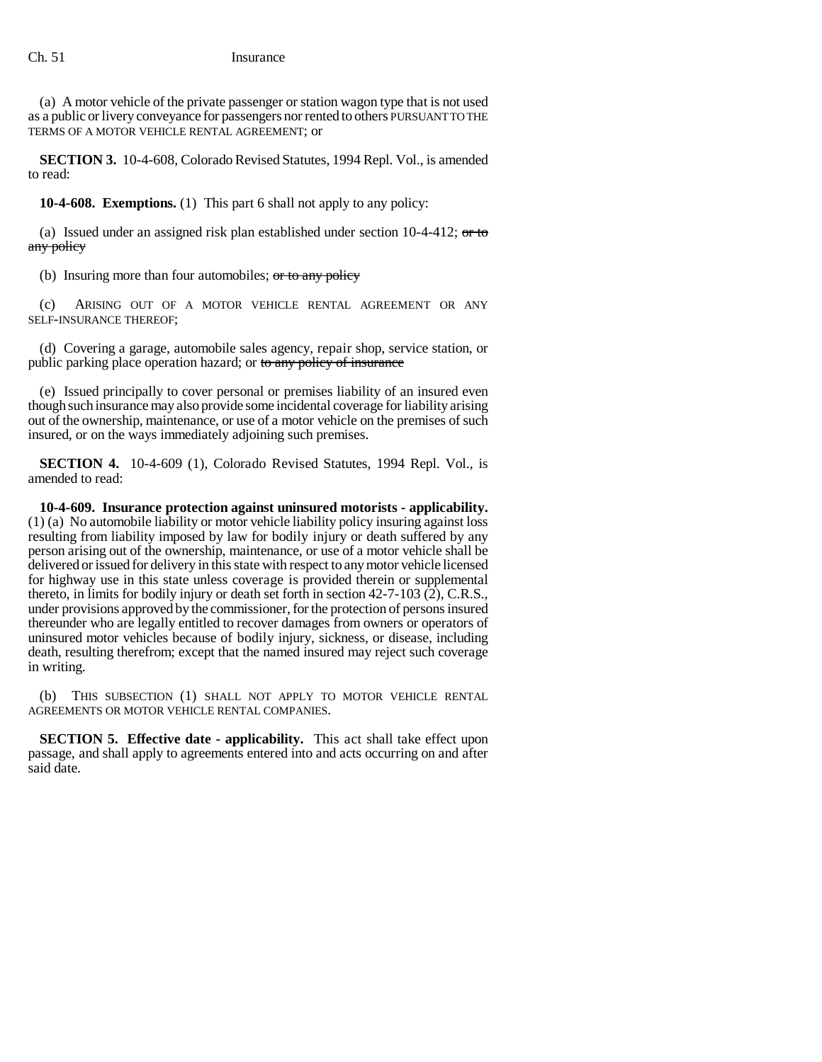(a) A motor vehicle of the private passenger or station wagon type that is not used as a public or livery conveyance for passengers nor rented to others PURSUANT TO THE TERMS OF A MOTOR VEHICLE RENTAL AGREEMENT; or

**SECTION 3.** 10-4-608, Colorado Revised Statutes, 1994 Repl. Vol., is amended to read:

**10-4-608. Exemptions.** (1) This part 6 shall not apply to any policy:

(a) Issued under an assigned risk plan established under section  $10-4-412$ ; or to any policy

(b) Insuring more than four automobiles;  $\sigma$  to any policy

(c) ARISING OUT OF A MOTOR VEHICLE RENTAL AGREEMENT OR ANY SELF-INSURANCE THEREOF;

(d) Covering a garage, automobile sales agency, repair shop, service station, or public parking place operation hazard; or to any policy of insurance

(e) Issued principally to cover personal or premises liability of an insured even though such insurance may also provide some incidental coverage for liability arising out of the ownership, maintenance, or use of a motor vehicle on the premises of such insured, or on the ways immediately adjoining such premises.

**SECTION 4.** 10-4-609 (1), Colorado Revised Statutes, 1994 Repl. Vol., is amended to read:

**10-4-609. Insurance protection against uninsured motorists - applicability.** (1) (a) No automobile liability or motor vehicle liability policy insuring against loss resulting from liability imposed by law for bodily injury or death suffered by any person arising out of the ownership, maintenance, or use of a motor vehicle shall be delivered or issued for delivery in this state with respect to any motor vehicle licensed for highway use in this state unless coverage is provided therein or supplemental thereto, in limits for bodily injury or death set forth in section 42-7-103 (2), C.R.S., under provisions approved by the commissioner, for the protection of persons insured thereunder who are legally entitled to recover damages from owners or operators of uninsured motor vehicles because of bodily injury, sickness, or disease, including death, resulting therefrom; except that the named insured may reject such coverage in writing.

(b) THIS SUBSECTION (1) SHALL NOT APPLY TO MOTOR VEHICLE RENTAL AGREEMENTS OR MOTOR VEHICLE RENTAL COMPANIES.

**SECTION 5. Effective date - applicability.** This act shall take effect upon passage, and shall apply to agreements entered into and acts occurring on and after said date.